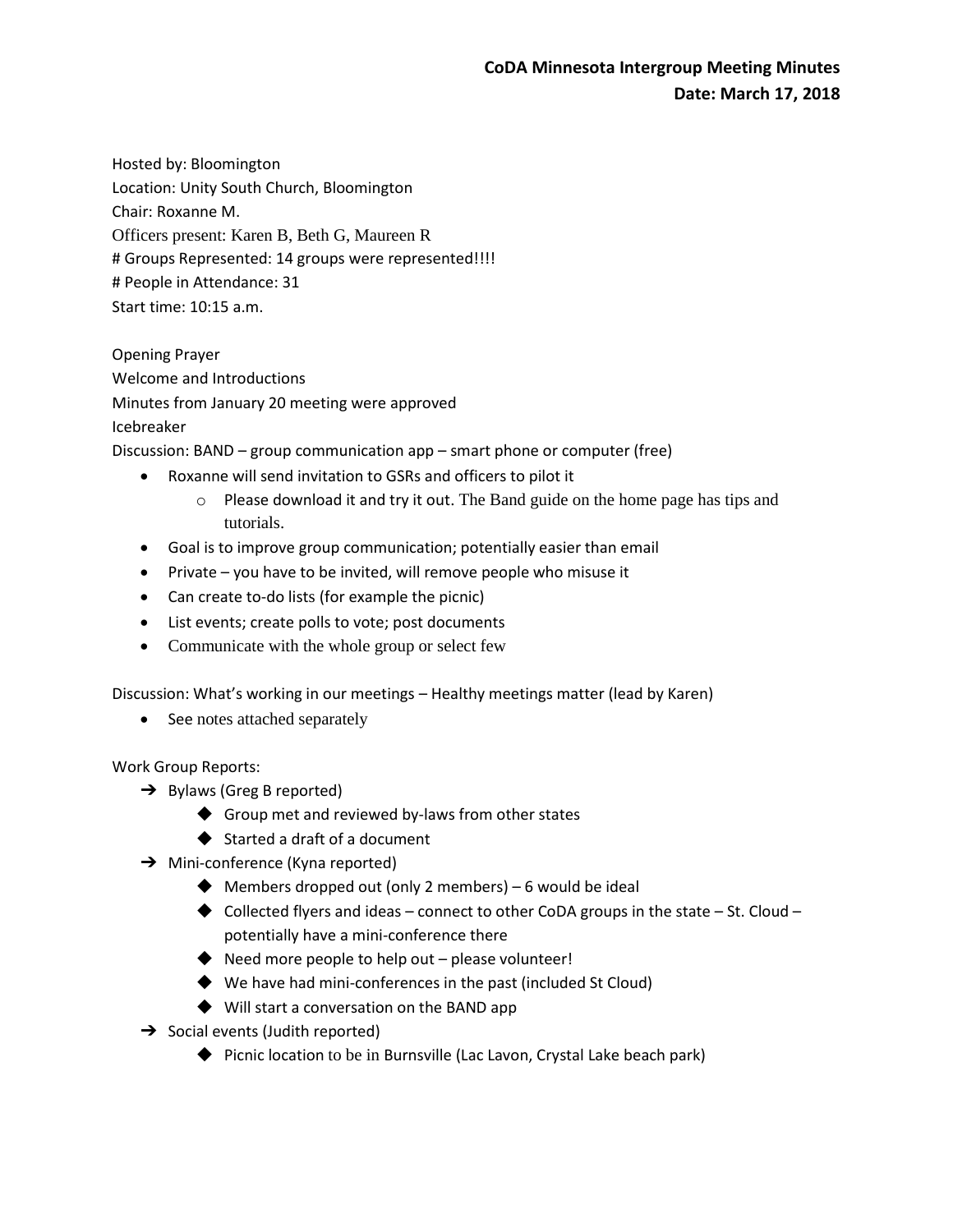Hosted by: Bloomington Location: Unity South Church, Bloomington Chair: Roxanne M. Officers present: Karen B, Beth G, Maureen R # Groups Represented: 14 groups were represented!!!! # People in Attendance: 31 Start time: 10:15 a.m.

Opening Prayer Welcome and Introductions Minutes from January 20 meeting were approved Icebreaker

Discussion: BAND – group communication app – smart phone or computer (free)

- Roxanne will send invitation to GSRs and officers to pilot it
	- $\circ$  Please download it and try it out. The Band guide on the home page has tips and tutorials.
- Goal is to improve group communication; potentially easier than email
- $\bullet$  Private you have to be invited, will remove people who misuse it
- Can create to-do lists (for example the picnic)
- List events; create polls to vote; post documents
- Communicate with the whole group or select few

Discussion: What's working in our meetings – Healthy meetings matter (lead by Karen)

• See notes attached separately

Work Group Reports:

- $\rightarrow$  Bylaws (Greg B reported)
	- ◆ Group met and reviewed by-laws from other states
	- ◆ Started a draft of a document
- → Mini-conference (Kyna reported)
	- $\blacklozenge$  Members dropped out (only 2 members) 6 would be ideal
	- $\blacklozenge$  Collected flyers and ideas connect to other CoDA groups in the state St. Cloud potentially have a mini-conference there
	- ◆ Need more people to help out please volunteer!
	- ◆ We have had mini-conferences in the past (included St Cloud)
	- ◆ Will start a conversation on the BAND app
- $\rightarrow$  Social events (Judith reported)
	- ◆ Picnic location to be in Burnsville (Lac Lavon, Crystal Lake beach park)